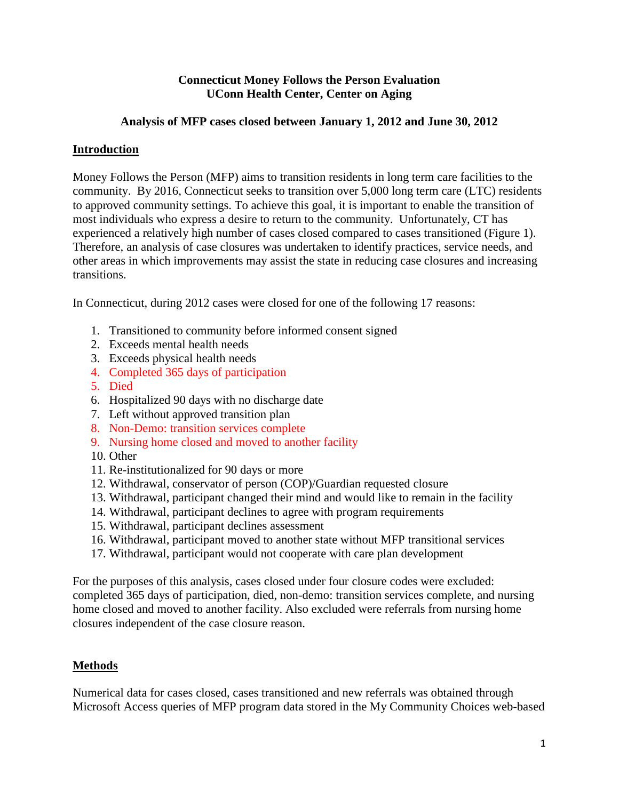# **Connecticut Money Follows the Person Evaluation UConn Health Center, Center on Aging**

# **Analysis of MFP cases closed between January 1, 2012 and June 30, 2012**

# **Introduction**

Money Follows the Person (MFP) aims to transition residents in long term care facilities to the community. By 2016, Connecticut seeks to transition over 5,000 long term care (LTC) residents to approved community settings. To achieve this goal, it is important to enable the transition of most individuals who express a desire to return to the community. Unfortunately, CT has experienced a relatively high number of cases closed compared to cases transitioned (Figure 1). Therefore, an analysis of case closures was undertaken to identify practices, service needs, and other areas in which improvements may assist the state in reducing case closures and increasing transitions.

In Connecticut, during 2012 cases were closed for one of the following 17 reasons:

- 1. Transitioned to community before informed consent signed
- 2. Exceeds mental health needs
- 3. Exceeds physical health needs
- 4. Completed 365 days of participation
- 5. Died
- 6. Hospitalized 90 days with no discharge date
- 7. Left without approved transition plan
- 8. Non-Demo: transition services complete
- 9. Nursing home closed and moved to another facility
- 10. Other
- 11. Re-institutionalized for 90 days or more
- 12. Withdrawal, conservator of person (COP)/Guardian requested closure
- 13. Withdrawal, participant changed their mind and would like to remain in the facility
- 14. Withdrawal, participant declines to agree with program requirements
- 15. Withdrawal, participant declines assessment
- 16. Withdrawal, participant moved to another state without MFP transitional services
- 17. Withdrawal, participant would not cooperate with care plan development

For the purposes of this analysis, cases closed under four closure codes were excluded: completed 365 days of participation, died, non-demo: transition services complete, and nursing home closed and moved to another facility. Also excluded were referrals from nursing home closures independent of the case closure reason.

### **Methods**

Numerical data for cases closed, cases transitioned and new referrals was obtained through Microsoft Access queries of MFP program data stored in the My Community Choices web-based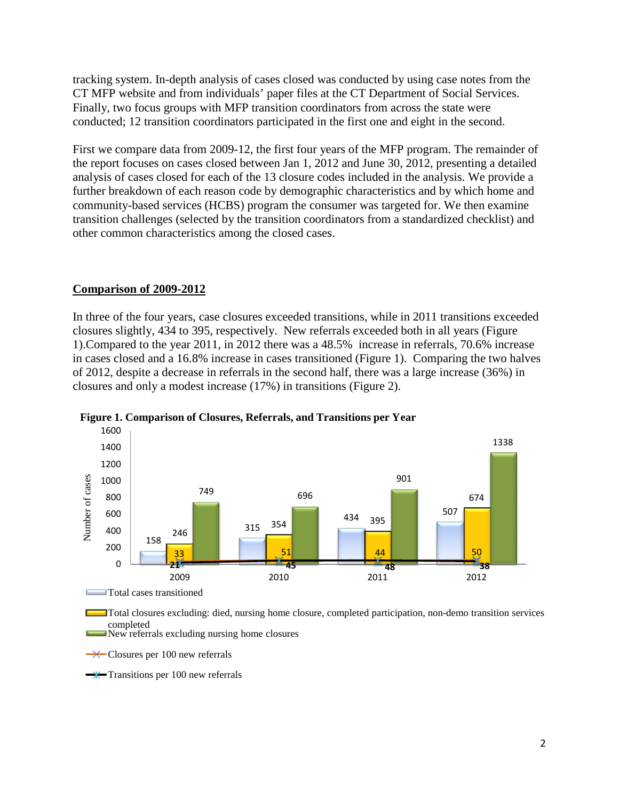tracking system. In-depth analysis of cases closed was conducted by using case notes from the CT MFP website and from individuals' paper files at the CT Department of Social Services. Finally, two focus groups with MFP transition coordinators from across the state were conducted; 12 transition coordinators participated in the first one and eight in the second.

First we compare data from 2009-12, the first four years of the MFP program. The remainder of the report focuses on cases closed between Jan 1, 2012 and June 30, 2012, presenting a detailed analysis of cases closed for each of the 13 closure codes included in the analysis. We provide a further breakdown of each reason code by demographic characteristics and by which home and community-based services (HCBS) program the consumer was targeted for. We then examine transition challenges (selected by the transition coordinators from a standardized checklist) and other common characteristics among the closed cases.

#### **Comparison of 2009-2012**

In three of the four years, case closures exceeded transitions, while in 2011 transitions exceeded closures slightly, 434 to 395, respectively. New referrals exceeded both in all years (Figure 1).Compared to the year 2011, in 2012 there was a 48.5% increase in referrals, 70.6% increase in cases closed and a 16.8% increase in cases transitioned (Figure 1). Comparing the two halves of 2012, despite a decrease in referrals in the second half, there was a large increase (36%) in closures and only a modest increase (17%) in transitions (Figure 2).





Total closures excluding: died, nursing home closure, completed participation, non-demo transition services completed New referrals excluding nursing home closures

Closures per 100 new referrals

 $\rightarrow$  Transitions per 100 new referrals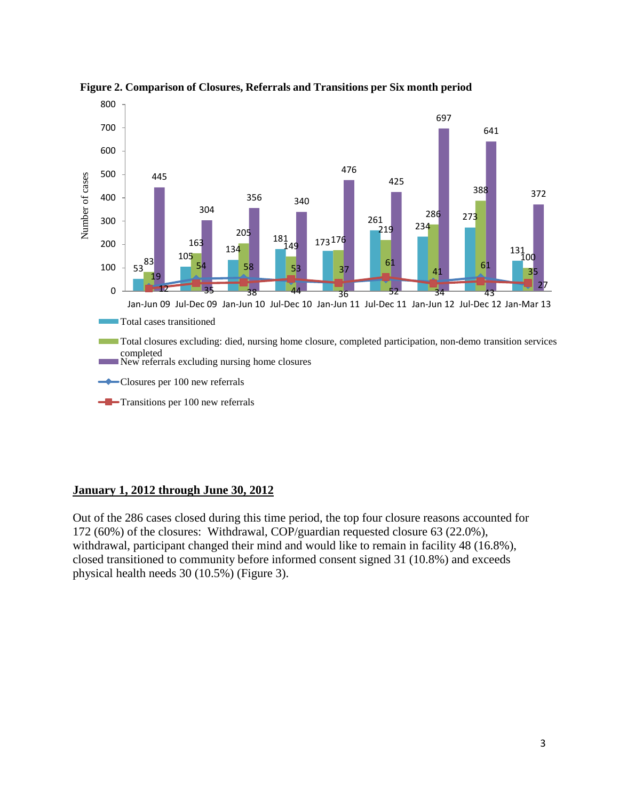



### **January 1, 2012 through June 30, 2012**

Out of the 286 cases closed during this time period, the top four closure reasons accounted for (60%) of the closures: Withdrawal, COP/guardian requested closure 63 (22.0%), withdrawal, participant changed their mind and would like to remain in facility 48 (16.8%), closed transitioned to community before informed consent signed 31 (10.8%) and exceeds physical health needs 30 (10.5%) (Figure 3).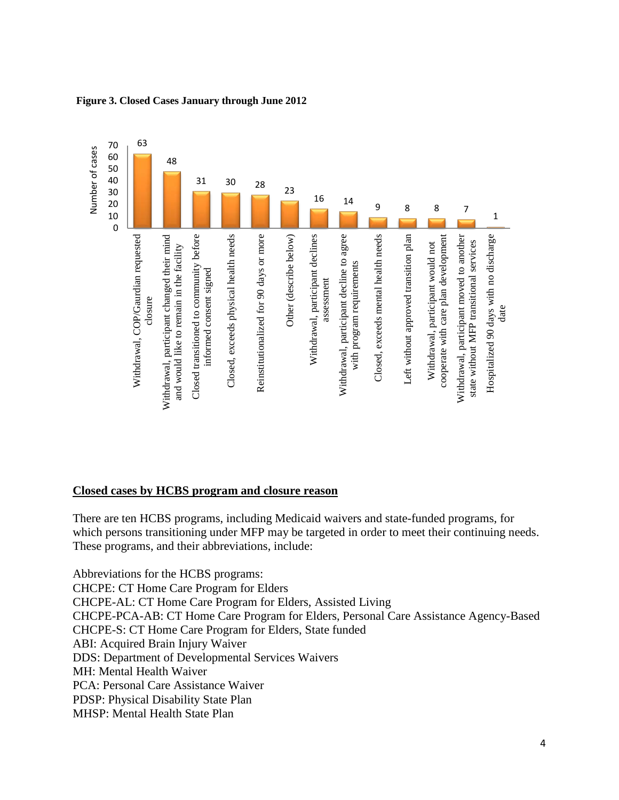

#### **Figure 3. Closed Cases January through June 2012**

#### **Closed cases by HCBS program and closure reason**

There are ten HCBS programs, including Medicaid waivers and state-funded programs, for which persons transitioning under MFP may be targeted in order to meet their continuing needs. These programs, and their abbreviations, include:

Abbreviations for the HCBS programs: CHCPE: CT Home Care Program for Elders CHCPE-AL: CT Home Care Program for Elders, Assisted Living CHCPE-PCA-AB: CT Home Care Program for Elders, Personal Care Assistance Agency-Based CHCPE-S: CT Home Care Program for Elders, State funded ABI: Acquired Brain Injury Waiver DDS: Department of Developmental Services Waivers MH: Mental Health Waiver PCA: Personal Care Assistance Waiver PDSP: Physical Disability State Plan MHSP: Mental Health State Plan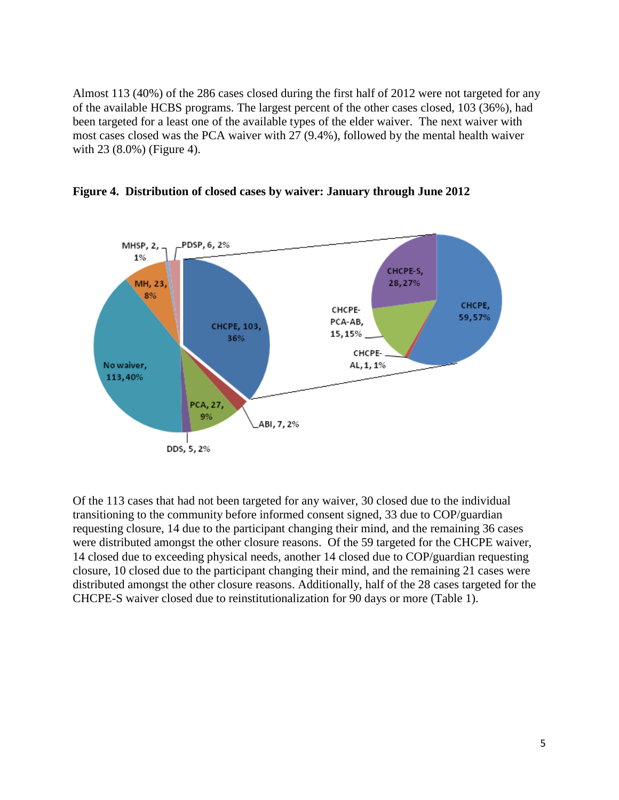Almost 113 (40%) of the 286 cases closed during the first half of 2012 were not targeted for any of the available HCBS programs. The largest percent of the other cases closed, 103 (36%), had been targeted for a least one of the available types of the elder waiver. The next waiver with most cases closed was the PCA waiver with 27 (9.4%), followed by the mental health waiver with 23 (8.0%) (Figure 4).





Of the 113 cases that had not been targeted for any waiver, 30 closed due to the individual transitioning to the community before informed consent signed, 33 due to COP/guardian requesting closure, 14 due to the participant changing their mind, and the remaining 36 cases were distributed amongst the other closure reasons. Of the 59 targeted for the CHCPE waiver, 14 closed due to exceeding physical needs, another 14 closed due to COP/guardian requesting closure, 10 closed due to the participant changing their mind, and the remaining 21 cases were distributed amongst the other closure reasons. Additionally, half of the 28 cases targeted for the CHCPE-S waiver closed due to reinstitutionalization for 90 days or more (Table 1).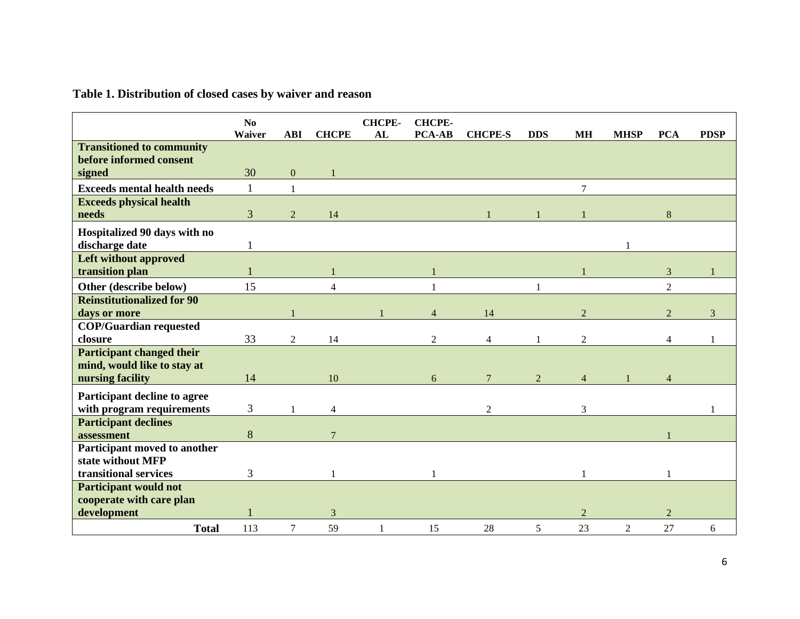# **Table 1. Distribution of closed cases by waiver and reason**

|                                                          | N <sub>0</sub><br>Waiver | <b>ABI</b>     | <b>CHCPE</b>   | <b>CHCPE-</b><br>AL | <b>CHCPE-</b><br><b>PCA-AB</b> | <b>CHCPE-S</b> | <b>DDS</b>     | <b>MH</b>      | <b>MHSP</b>    | <b>PCA</b>     | <b>PDSP</b> |
|----------------------------------------------------------|--------------------------|----------------|----------------|---------------------|--------------------------------|----------------|----------------|----------------|----------------|----------------|-------------|
| <b>Transitioned to community</b>                         |                          |                |                |                     |                                |                |                |                |                |                |             |
| before informed consent                                  |                          |                |                |                     |                                |                |                |                |                |                |             |
| signed                                                   | 30                       | $\mathbf{0}$   |                |                     |                                |                |                |                |                |                |             |
| <b>Exceeds mental health needs</b>                       | 1                        | $\mathbf{1}$   |                |                     |                                |                |                | $\overline{7}$ |                |                |             |
| <b>Exceeds physical health</b>                           |                          |                |                |                     |                                |                |                |                |                |                |             |
| needs                                                    | 3                        | 2              | 14             |                     |                                |                |                |                |                | 8              |             |
| Hospitalized 90 days with no                             |                          |                |                |                     |                                |                |                |                |                |                |             |
| discharge date                                           |                          |                |                |                     |                                |                |                |                |                |                |             |
| <b>Left without approved</b>                             |                          |                |                |                     |                                |                |                |                |                |                |             |
| transition plan                                          |                          |                |                |                     |                                |                |                |                |                | 3              |             |
| Other (describe below)                                   | 15                       |                | Δ              |                     |                                |                |                |                |                | $\overline{2}$ |             |
| <b>Reinstitutionalized for 90</b>                        |                          |                |                |                     |                                |                |                |                |                |                |             |
| days or more                                             |                          |                |                |                     | $\overline{4}$                 | 14             |                | $\overline{2}$ |                | $\overline{2}$ | 3           |
| <b>COP/Guardian requested</b>                            |                          |                |                |                     |                                |                |                |                |                |                |             |
| closure                                                  | 33                       | $\overline{2}$ | 14             |                     | $\overline{2}$                 | $\overline{4}$ |                | $\overline{2}$ |                | 4              |             |
| <b>Participant changed their</b>                         |                          |                |                |                     |                                |                |                |                |                |                |             |
| mind, would like to stay at                              |                          |                |                |                     |                                |                |                |                |                |                |             |
| nursing facility                                         | 14                       |                | 10             |                     | 6                              |                | $\overline{2}$ | $\overline{4}$ |                |                |             |
| Participant decline to agree                             |                          |                |                |                     |                                |                |                |                |                |                |             |
| with program requirements                                | 3                        |                | $\overline{4}$ |                     |                                | $\mathfrak{D}$ |                | 3              |                |                |             |
| <b>Participant declines</b>                              |                          |                |                |                     |                                |                |                |                |                |                |             |
| assessment                                               | 8                        |                |                |                     |                                |                |                |                |                |                |             |
| Participant moved to another                             |                          |                |                |                     |                                |                |                |                |                |                |             |
| state without MFP                                        |                          |                |                |                     |                                |                |                |                |                |                |             |
| transitional services                                    | 3                        |                |                |                     |                                |                |                |                |                |                |             |
| <b>Participant would not</b><br>cooperate with care plan |                          |                |                |                     |                                |                |                |                |                |                |             |
| development                                              |                          |                | 3              |                     |                                |                |                | $\overline{2}$ |                | $\overline{2}$ |             |
| <b>Total</b>                                             | 113                      | $\tau$         | 59             |                     | 15                             | 28             | 5              | 23             | $\overline{2}$ | 27             | 6           |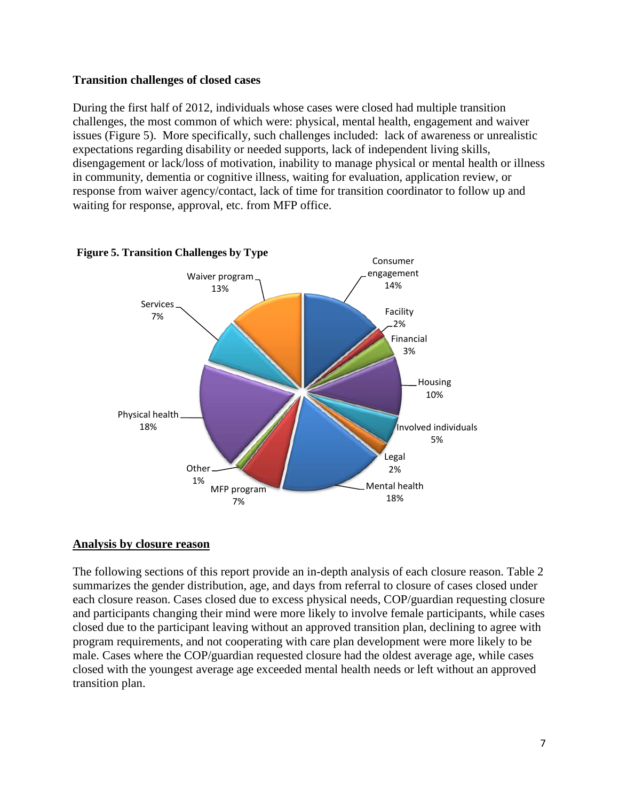### **Transition challenges of closed cases**

During the first half of 2012, individuals whose cases were closed had multiple transition challenges, the most common of which were: physical, mental health, engagement and waiver issues (Figure 5). More specifically, such challenges included: lack of awareness or unrealistic expectations regarding disability or needed supports, lack of independent living skills, disengagement or lack/loss of motivation, inability to manage physical or mental health or illness in community, dementia or cognitive illness, waiting for evaluation, application review, or response from waiver agency/contact, lack of time for transition coordinator to follow up and waiting for response, approval, etc. from MFP office.



#### **Figure 5. Transition Challenges by Type**

### **Analysis by closure reason**

The following sections of this report provide an in-depth analysis of each closure reason. Table 2 summarizes the gender distribution, age, and days from referral to closure of cases closed under each closure reason. Cases closed due to excess physical needs, COP/guardian requesting closure and participants changing their mind were more likely to involve female participants, while cases closed due to the participant leaving without an approved transition plan, declining to agree with program requirements, and not cooperating with care plan development were more likely to be male. Cases where the COP/guardian requested closure had the oldest average age, while cases closed with the youngest average age exceeded mental health needs or left without an approved transition plan.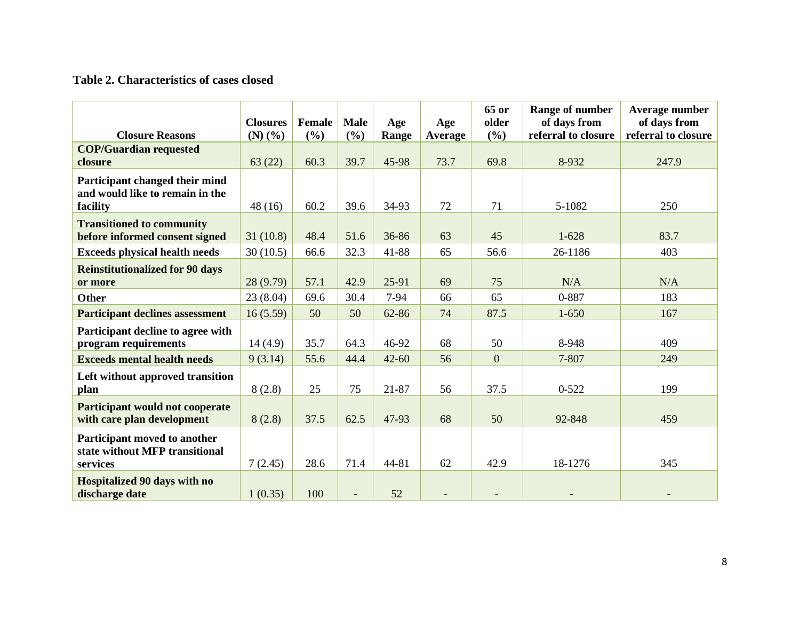# **Table 2. Characteristics of cases closed**

| <b>Closure Reasons</b>                                                        | <b>Closures</b><br>$(N)$ $(\%)$ | Female<br>(9/0) | <b>Male</b><br>(%) | Age<br>Range | Age<br>Average | 65 or<br>older<br>(%) | Range of number<br>of days from<br>referral to closure | Average number<br>of days from<br>referral to closure |
|-------------------------------------------------------------------------------|---------------------------------|-----------------|--------------------|--------------|----------------|-----------------------|--------------------------------------------------------|-------------------------------------------------------|
| <b>COP/Guardian requested</b><br>closure                                      | 63(22)                          | 60.3            | 39.7               | 45-98        | 73.7           | 69.8                  | 8-932                                                  | 247.9                                                 |
| Participant changed their mind<br>and would like to remain in the<br>facility | 48(16)                          | 60.2            | 39.6               | 34-93        | 72             | 71                    | 5-1082                                                 | 250                                                   |
| <b>Transitioned to community</b><br>before informed consent signed            | 31(10.8)                        | 48.4            | 51.6               | 36-86        | 63             | 45                    | $1 - 628$                                              | 83.7                                                  |
| <b>Exceeds physical health needs</b>                                          | 30(10.5)                        | 66.6            | 32.3               | 41-88        | 65             | 56.6                  | 26-1186                                                | 403                                                   |
| <b>Reinstitutionalized for 90 days</b><br>or more                             | 28 (9.79)                       | 57.1            | 42.9               | 25-91        | 69             | 75                    | N/A                                                    | N/A                                                   |
| Other                                                                         | 23(8.04)                        | 69.6            | 30.4               | $7-94$       | 66             | 65                    | 0-887                                                  | 183                                                   |
| <b>Participant declines assessment</b>                                        | 16(5.59)                        | 50              | 50                 | 62-86        | 74             | 87.5                  | $1 - 650$                                              | 167                                                   |
| Participant decline to agree with<br>program requirements                     | 14(4.9)                         | 35.7            | 64.3               | 46-92        | 68             | 50                    | 8-948                                                  | 409                                                   |
| <b>Exceeds mental health needs</b>                                            | 9(3.14)                         | 55.6            | 44.4               | $42 - 60$    | 56             | $\overline{0}$        | 7-807                                                  | 249                                                   |
| Left without approved transition<br>plan                                      | 8(2.8)                          | 25              | 75                 | 21-87        | 56             | 37.5                  | $0 - 522$                                              | 199                                                   |
| <b>Participant would not cooperate</b><br>with care plan development          | 8(2.8)                          | 37.5            | 62.5               | 47-93        | 68             | 50                    | 92-848                                                 | 459                                                   |
| Participant moved to another<br>state without MFP transitional<br>services    | 7(2.45)                         | 28.6            | 71.4               | 44-81        | 62             | 42.9                  | 18-1276                                                | 345                                                   |
| <b>Hospitalized 90 days with no</b><br>discharge date                         | 1(0.35)                         | 100             |                    | 52           |                |                       |                                                        |                                                       |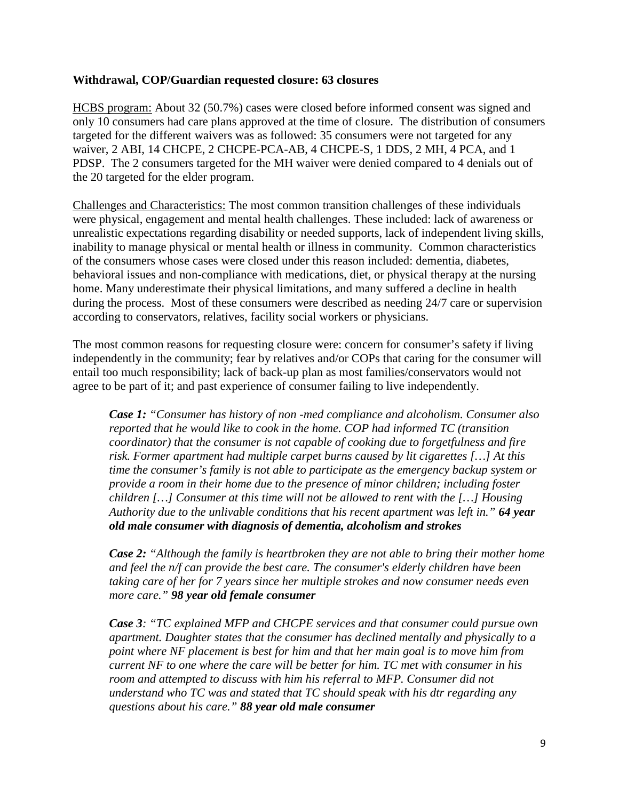# **Withdrawal, COP/Guardian requested closure: 63 closures**

HCBS program: About 32 (50.7%) cases were closed before informed consent was signed and only 10 consumers had care plans approved at the time of closure. The distribution of consumers targeted for the different waivers was as followed: 35 consumers were not targeted for any waiver, 2 ABI, 14 CHCPE, 2 CHCPE-PCA-AB, 4 CHCPE-S, 1 DDS, 2 MH, 4 PCA, and 1 PDSP. The 2 consumers targeted for the MH waiver were denied compared to 4 denials out of the 20 targeted for the elder program.

Challenges and Characteristics: The most common transition challenges of these individuals were physical, engagement and mental health challenges. These included: lack of awareness or unrealistic expectations regarding disability or needed supports, lack of independent living skills, inability to manage physical or mental health or illness in community. Common characteristics of the consumers whose cases were closed under this reason included: dementia, diabetes, behavioral issues and non-compliance with medications, diet, or physical therapy at the nursing home. Many underestimate their physical limitations, and many suffered a decline in health during the process. Most of these consumers were described as needing 24/7 care or supervision according to conservators, relatives, facility social workers or physicians.

The most common reasons for requesting closure were: concern for consumer's safety if living independently in the community; fear by relatives and/or COPs that caring for the consumer will entail too much responsibility; lack of back-up plan as most families/conservators would not agree to be part of it; and past experience of consumer failing to live independently.

*Case 1: "Consumer has history of non -med compliance and alcoholism. Consumer also reported that he would like to cook in the home. COP had informed TC (transition coordinator) that the consumer is not capable of cooking due to forgetfulness and fire risk. Former apartment had multiple carpet burns caused by lit cigarettes […] At this time the consumer's family is not able to participate as the emergency backup system or provide a room in their home due to the presence of minor children; including foster children […] Consumer at this time will not be allowed to rent with the […] Housing Authority due to the unlivable conditions that his recent apartment was left in." 64 year old male consumer with diagnosis of dementia, alcoholism and strokes*

*Case 2: "Although the family is heartbroken they are not able to bring their mother home and feel the n/f can provide the best care. The consumer's elderly children have been taking care of her for 7 years since her multiple strokes and now consumer needs even more care." 98 year old female consumer*

*Case 3: "TC explained MFP and CHCPE services and that consumer could pursue own apartment. Daughter states that the consumer has declined mentally and physically to a point where NF placement is best for him and that her main goal is to move him from current NF to one where the care will be better for him. TC met with consumer in his room and attempted to discuss with him his referral to MFP. Consumer did not understand who TC was and stated that TC should speak with his dtr regarding any questions about his care." 88 year old male consumer*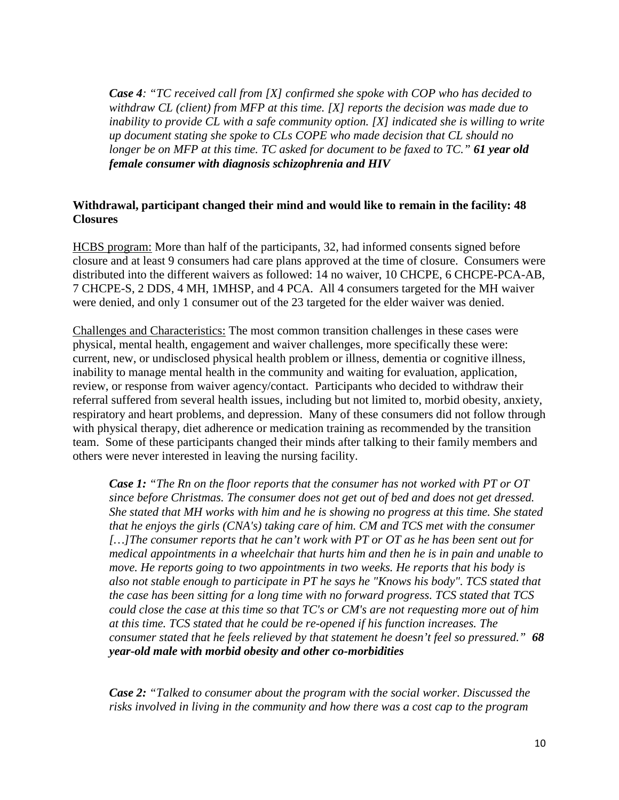*Case 4: "TC received call from [X] confirmed she spoke with COP who has decided to withdraw CL (client) from MFP at this time. [X] reports the decision was made due to inability to provide CL with a safe community option. [X] indicated she is willing to write up document stating she spoke to CLs COPE who made decision that CL should no longer be on MFP at this time. TC asked for document to be faxed to TC." 61 year old female consumer with diagnosis schizophrenia and HIV*

# **Withdrawal, participant changed their mind and would like to remain in the facility: 48 Closures**

HCBS program: More than half of the participants, 32, had informed consents signed before closure and at least 9 consumers had care plans approved at the time of closure. Consumers were distributed into the different waivers as followed: 14 no waiver, 10 CHCPE, 6 CHCPE-PCA-AB, 7 CHCPE-S, 2 DDS, 4 MH, 1MHSP, and 4 PCA. All 4 consumers targeted for the MH waiver were denied, and only 1 consumer out of the 23 targeted for the elder waiver was denied.

Challenges and Characteristics: The most common transition challenges in these cases were physical, mental health, engagement and waiver challenges, more specifically these were: current, new, or undisclosed physical health problem or illness, dementia or cognitive illness, inability to manage mental health in the community and waiting for evaluation, application, review, or response from waiver agency/contact. Participants who decided to withdraw their referral suffered from several health issues, including but not limited to, morbid obesity, anxiety, respiratory and heart problems, and depression. Many of these consumers did not follow through with physical therapy, diet adherence or medication training as recommended by the transition team. Some of these participants changed their minds after talking to their family members and others were never interested in leaving the nursing facility.

*Case 1: "The Rn on the floor reports that the consumer has not worked with PT or OT since before Christmas. The consumer does not get out of bed and does not get dressed. She stated that MH works with him and he is showing no progress at this time. She stated that he enjoys the girls (CNA's) taking care of him. CM and TCS met with the consumer […]The consumer reports that he can't work with PT or OT as he has been sent out for medical appointments in a wheelchair that hurts him and then he is in pain and unable to move. He reports going to two appointments in two weeks. He reports that his body is also not stable enough to participate in PT he says he "Knows his body". TCS stated that the case has been sitting for a long time with no forward progress. TCS stated that TCS could close the case at this time so that TC's or CM's are not requesting more out of him at this time. TCS stated that he could be re-opened if his function increases. The consumer stated that he feels relieved by that statement he doesn't feel so pressured." 68 year-old male with morbid obesity and other co-morbidities*

*Case 2: "Talked to consumer about the program with the social worker. Discussed the risks involved in living in the community and how there was a cost cap to the program*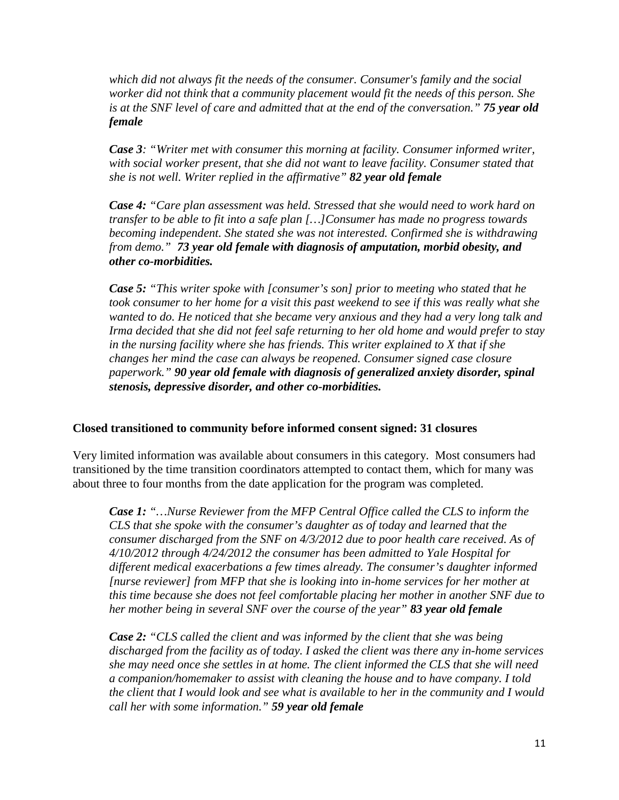*which did not always fit the needs of the consumer. Consumer's family and the social worker did not think that a community placement would fit the needs of this person. She is at the SNF level of care and admitted that at the end of the conversation." 75 year old female* 

*Case 3: "Writer met with consumer this morning at facility. Consumer informed writer, with social worker present, that she did not want to leave facility. Consumer stated that she is not well. Writer replied in the affirmative" 82 year old female*

*Case 4: "Care plan assessment was held. Stressed that she would need to work hard on transfer to be able to fit into a safe plan […]Consumer has made no progress towards becoming independent. She stated she was not interested. Confirmed she is withdrawing from demo." 73 year old female with diagnosis of amputation, morbid obesity, and other co-morbidities.*

*Case 5: "This writer spoke with [consumer's son] prior to meeting who stated that he took consumer to her home for a visit this past weekend to see if this was really what she wanted to do. He noticed that she became very anxious and they had a very long talk and Irma decided that she did not feel safe returning to her old home and would prefer to stay in the nursing facility where she has friends. This writer explained to X that if she changes her mind the case can always be reopened. Consumer signed case closure paperwork." 90 year old female with diagnosis of generalized anxiety disorder, spinal stenosis, depressive disorder, and other co-morbidities.* 

### **Closed transitioned to community before informed consent signed: 31 closures**

Very limited information was available about consumers in this category. Most consumers had transitioned by the time transition coordinators attempted to contact them, which for many was about three to four months from the date application for the program was completed.

*Case 1: "…Nurse Reviewer from the MFP Central Office called the CLS to inform the CLS that she spoke with the consumer's daughter as of today and learned that the consumer discharged from the SNF on 4/3/2012 due to poor health care received. As of 4/10/2012 through 4/24/2012 the consumer has been admitted to Yale Hospital for different medical exacerbations a few times already. The consumer's daughter informed [nurse reviewer] from MFP that she is looking into in-home services for her mother at this time because she does not feel comfortable placing her mother in another SNF due to her mother being in several SNF over the course of the year" 83 year old female*

*Case 2: "CLS called the client and was informed by the client that she was being discharged from the facility as of today. I asked the client was there any in-home services she may need once she settles in at home. The client informed the CLS that she will need a companion/homemaker to assist with cleaning the house and to have company. I told the client that I would look and see what is available to her in the community and I would call her with some information." 59 year old female*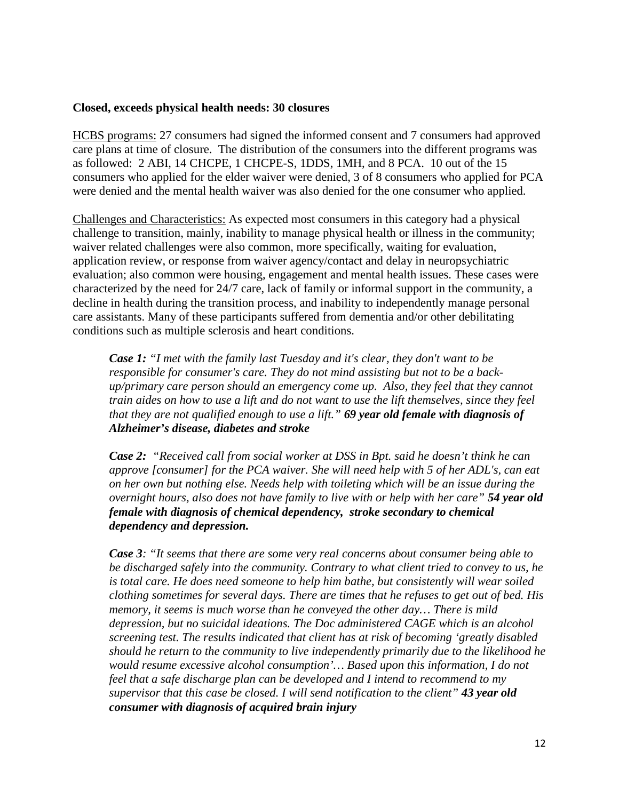#### **Closed, exceeds physical health needs: 30 closures**

HCBS programs: 27 consumers had signed the informed consent and 7 consumers had approved care plans at time of closure. The distribution of the consumers into the different programs was as followed: 2 ABI, 14 CHCPE, 1 CHCPE-S, 1DDS, 1MH, and 8 PCA. 10 out of the 15 consumers who applied for the elder waiver were denied, 3 of 8 consumers who applied for PCA were denied and the mental health waiver was also denied for the one consumer who applied.

Challenges and Characteristics: As expected most consumers in this category had a physical challenge to transition, mainly, inability to manage physical health or illness in the community; waiver related challenges were also common, more specifically, waiting for evaluation, application review, or response from waiver agency/contact and delay in neuropsychiatric evaluation; also common were housing, engagement and mental health issues. These cases were characterized by the need for 24/7 care, lack of family or informal support in the community, a decline in health during the transition process, and inability to independently manage personal care assistants. Many of these participants suffered from dementia and/or other debilitating conditions such as multiple sclerosis and heart conditions.

*Case 1: "I met with the family last Tuesday and it's clear, they don't want to be responsible for consumer's care. They do not mind assisting but not to be a backup/primary care person should an emergency come up. Also, they feel that they cannot train aides on how to use a lift and do not want to use the lift themselves, since they feel that they are not qualified enough to use a lift." 69 year old female with diagnosis of Alzheimer's disease, diabetes and stroke*

*Case 2: "Received call from social worker at DSS in Bpt. said he doesn't think he can approve [consumer] for the PCA waiver. She will need help with 5 of her ADL's, can eat on her own but nothing else. Needs help with toileting which will be an issue during the overnight hours, also does not have family to live with or help with her care" 54 year old female with diagnosis of chemical dependency, stroke secondary to chemical dependency and depression.* 

*Case 3: "It seems that there are some very real concerns about consumer being able to be discharged safely into the community. Contrary to what client tried to convey to us, he is total care. He does need someone to help him bathe, but consistently will wear soiled clothing sometimes for several days. There are times that he refuses to get out of bed. His memory, it seems is much worse than he conveyed the other day… There is mild depression, but no suicidal ideations. The Doc administered CAGE which is an alcohol screening test. The results indicated that client has at risk of becoming 'greatly disabled should he return to the community to live independently primarily due to the likelihood he would resume excessive alcohol consumption'… Based upon this information, I do not feel that a safe discharge plan can be developed and I intend to recommend to my supervisor that this case be closed. I will send notification to the client" 43 year old consumer with diagnosis of acquired brain injury*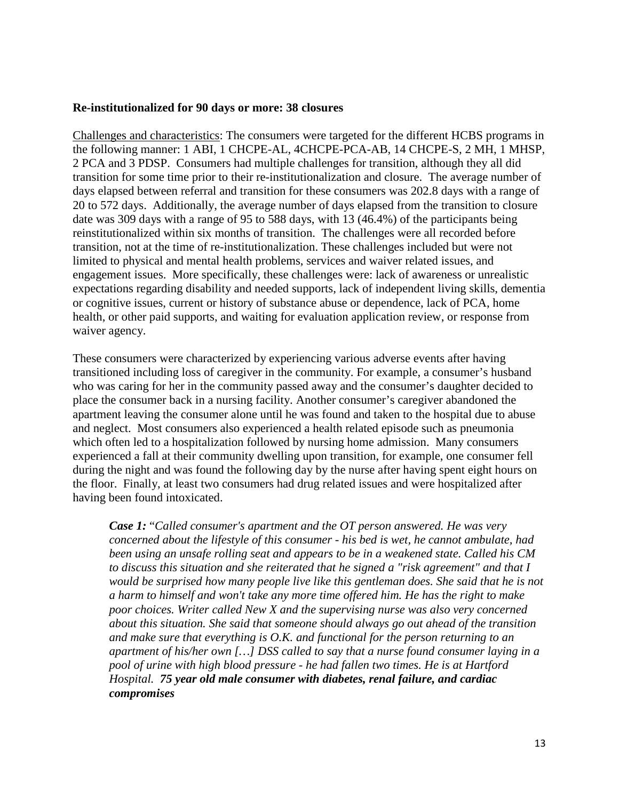#### **Re-institutionalized for 90 days or more: 38 closures**

Challenges and characteristics: The consumers were targeted for the different HCBS programs in the following manner: 1 ABI, 1 CHCPE-AL, 4CHCPE-PCA-AB, 14 CHCPE-S, 2 MH, 1 MHSP, 2 PCA and 3 PDSP. Consumers had multiple challenges for transition, although they all did transition for some time prior to their re-institutionalization and closure. The average number of days elapsed between referral and transition for these consumers was 202.8 days with a range of 20 to 572 days. Additionally, the average number of days elapsed from the transition to closure date was 309 days with a range of 95 to 588 days, with 13 (46.4%) of the participants being reinstitutionalized within six months of transition. The challenges were all recorded before transition, not at the time of re-institutionalization. These challenges included but were not limited to physical and mental health problems, services and waiver related issues, and engagement issues. More specifically, these challenges were: lack of awareness or unrealistic expectations regarding disability and needed supports, lack of independent living skills, dementia or cognitive issues, current or history of substance abuse or dependence, lack of PCA, home health, or other paid supports, and waiting for evaluation application review, or response from waiver agency.

These consumers were characterized by experiencing various adverse events after having transitioned including loss of caregiver in the community. For example, a consumer's husband who was caring for her in the community passed away and the consumer's daughter decided to place the consumer back in a nursing facility. Another consumer's caregiver abandoned the apartment leaving the consumer alone until he was found and taken to the hospital due to abuse and neglect. Most consumers also experienced a health related episode such as pneumonia which often led to a hospitalization followed by nursing home admission. Many consumers experienced a fall at their community dwelling upon transition, for example, one consumer fell during the night and was found the following day by the nurse after having spent eight hours on the floor. Finally, at least two consumers had drug related issues and were hospitalized after having been found intoxicated.

*Case 1:* "*Called consumer's apartment and the OT person answered. He was very concerned about the lifestyle of this consumer - his bed is wet, he cannot ambulate, had been using an unsafe rolling seat and appears to be in a weakened state. Called his CM to discuss this situation and she reiterated that he signed a "risk agreement" and that I would be surprised how many people live like this gentleman does. She said that he is not a harm to himself and won't take any more time offered him. He has the right to make poor choices. Writer called New X and the supervising nurse was also very concerned about this situation. She said that someone should always go out ahead of the transition and make sure that everything is O.K. and functional for the person returning to an apartment of his/her own […] DSS called to say that a nurse found consumer laying in a pool of urine with high blood pressure - he had fallen two times. He is at Hartford Hospital. 75 year old male consumer with diabetes, renal failure, and cardiac compromises*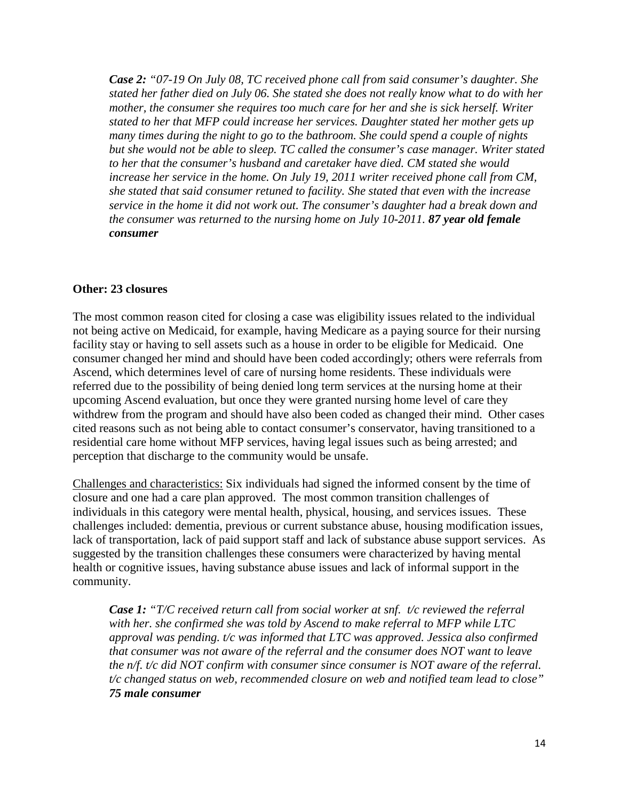*Case 2: "07-19 On July 08, TC received phone call from said consumer's daughter. She stated her father died on July 06. She stated she does not really know what to do with her mother, the consumer she requires too much care for her and she is sick herself. Writer stated to her that MFP could increase her services. Daughter stated her mother gets up many times during the night to go to the bathroom. She could spend a couple of nights but she would not be able to sleep. TC called the consumer's case manager. Writer stated to her that the consumer's husband and caretaker have died. CM stated she would increase her service in the home. On July 19, 2011 writer received phone call from CM, she stated that said consumer retuned to facility. She stated that even with the increase service in the home it did not work out. The consumer's daughter had a break down and the consumer was returned to the nursing home on July 10-2011. 87 year old female consumer* 

### **Other: 23 closures**

The most common reason cited for closing a case was eligibility issues related to the individual not being active on Medicaid, for example, having Medicare as a paying source for their nursing facility stay or having to sell assets such as a house in order to be eligible for Medicaid. One consumer changed her mind and should have been coded accordingly; others were referrals from Ascend, which determines level of care of nursing home residents. These individuals were referred due to the possibility of being denied long term services at the nursing home at their upcoming Ascend evaluation, but once they were granted nursing home level of care they withdrew from the program and should have also been coded as changed their mind. Other cases cited reasons such as not being able to contact consumer's conservator, having transitioned to a residential care home without MFP services, having legal issues such as being arrested; and perception that discharge to the community would be unsafe.

Challenges and characteristics: Six individuals had signed the informed consent by the time of closure and one had a care plan approved. The most common transition challenges of individuals in this category were mental health, physical, housing, and services issues. These challenges included: dementia, previous or current substance abuse, housing modification issues, lack of transportation, lack of paid support staff and lack of substance abuse support services. As suggested by the transition challenges these consumers were characterized by having mental health or cognitive issues, having substance abuse issues and lack of informal support in the community.

*Case 1: "T/C received return call from social worker at snf. t/c reviewed the referral with her. she confirmed she was told by Ascend to make referral to MFP while LTC approval was pending. t/c was informed that LTC was approved. Jessica also confirmed that consumer was not aware of the referral and the consumer does NOT want to leave the n/f. t/c did NOT confirm with consumer since consumer is NOT aware of the referral. t/c changed status on web, recommended closure on web and notified team lead to close" 75 male consumer*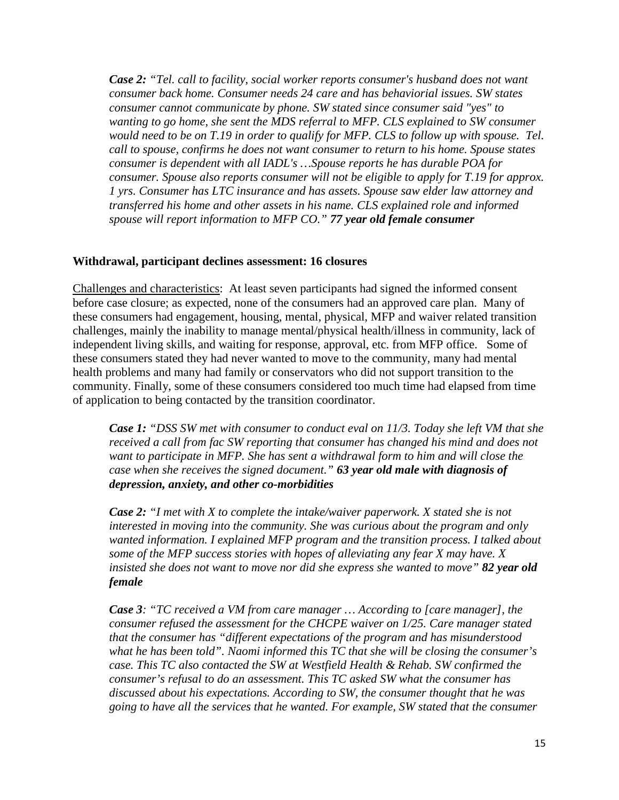*Case 2: "Tel. call to facility, social worker reports consumer's husband does not want consumer back home. Consumer needs 24 care and has behaviorial issues. SW states consumer cannot communicate by phone. SW stated since consumer said "yes" to wanting to go home, she sent the MDS referral to MFP. CLS explained to SW consumer would need to be on T.19 in order to qualify for MFP. CLS to follow up with spouse. Tel. call to spouse, confirms he does not want consumer to return to his home. Spouse states consumer is dependent with all IADL's …Spouse reports he has durable POA for consumer. Spouse also reports consumer will not be eligible to apply for T.19 for approx. 1 yrs. Consumer has LTC insurance and has assets. Spouse saw elder law attorney and transferred his home and other assets in his name. CLS explained role and informed spouse will report information to MFP CO." 77 year old female consumer*

### **Withdrawal, participant declines assessment: 16 closures**

Challenges and characteristics: At least seven participants had signed the informed consent before case closure; as expected, none of the consumers had an approved care plan. Many of these consumers had engagement, housing, mental, physical, MFP and waiver related transition challenges, mainly the inability to manage mental/physical health/illness in community, lack of independent living skills, and waiting for response, approval, etc. from MFP office. Some of these consumers stated they had never wanted to move to the community, many had mental health problems and many had family or conservators who did not support transition to the community. Finally, some of these consumers considered too much time had elapsed from time of application to being contacted by the transition coordinator.

*Case 1: "DSS SW met with consumer to conduct eval on 11/3. Today she left VM that she received a call from fac SW reporting that consumer has changed his mind and does not want to participate in MFP. She has sent a withdrawal form to him and will close the case when she receives the signed document." 63 year old male with diagnosis of depression, anxiety, and other co-morbidities*

*Case 2: "I met with X to complete the intake/waiver paperwork. X stated she is not interested in moving into the community. She was curious about the program and only wanted information. I explained MFP program and the transition process. I talked about some of the MFP success stories with hopes of alleviating any fear X may have. X insisted she does not want to move nor did she express she wanted to move" 82 year old female* 

*Case 3: "TC received a VM from care manager … According to [care manager], the consumer refused the assessment for the CHCPE waiver on 1/25. Care manager stated that the consumer has "different expectations of the program and has misunderstood what he has been told". Naomi informed this TC that she will be closing the consumer's case. This TC also contacted the SW at Westfield Health & Rehab. SW confirmed the consumer's refusal to do an assessment. This TC asked SW what the consumer has discussed about his expectations. According to SW, the consumer thought that he was going to have all the services that he wanted. For example, SW stated that the consumer*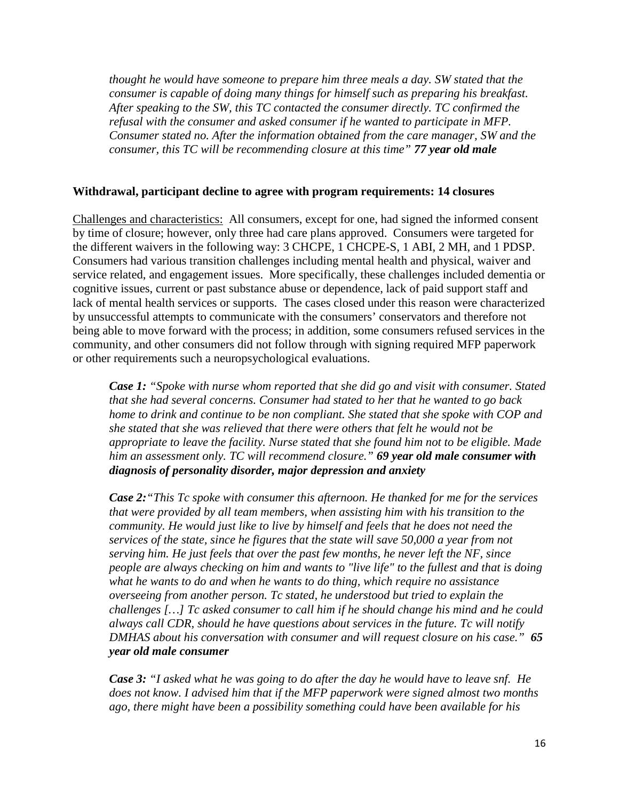*thought he would have someone to prepare him three meals a day. SW stated that the consumer is capable of doing many things for himself such as preparing his breakfast. After speaking to the SW, this TC contacted the consumer directly. TC confirmed the refusal with the consumer and asked consumer if he wanted to participate in MFP. Consumer stated no. After the information obtained from the care manager, SW and the consumer, this TC will be recommending closure at this time" 77 year old male* 

# **Withdrawal, participant decline to agree with program requirements: 14 closures**

Challenges and characteristics: All consumers, except for one, had signed the informed consent by time of closure; however, only three had care plans approved. Consumers were targeted for the different waivers in the following way: 3 CHCPE, 1 CHCPE-S, 1 ABI, 2 MH, and 1 PDSP. Consumers had various transition challenges including mental health and physical, waiver and service related, and engagement issues. More specifically, these challenges included dementia or cognitive issues, current or past substance abuse or dependence, lack of paid support staff and lack of mental health services or supports. The cases closed under this reason were characterized by unsuccessful attempts to communicate with the consumers' conservators and therefore not being able to move forward with the process; in addition, some consumers refused services in the community, and other consumers did not follow through with signing required MFP paperwork or other requirements such a neuropsychological evaluations.

*Case 1: "Spoke with nurse whom reported that she did go and visit with consumer. Stated that she had several concerns. Consumer had stated to her that he wanted to go back home to drink and continue to be non compliant. She stated that she spoke with COP and she stated that she was relieved that there were others that felt he would not be appropriate to leave the facility. Nurse stated that she found him not to be eligible. Made him an assessment only. TC will recommend closure." 69 year old male consumer with diagnosis of personality disorder, major depression and anxiety*

*Case 2:"This Tc spoke with consumer this afternoon. He thanked for me for the services that were provided by all team members, when assisting him with his transition to the community. He would just like to live by himself and feels that he does not need the services of the state, since he figures that the state will save 50,000 a year from not serving him. He just feels that over the past few months, he never left the NF, since people are always checking on him and wants to "live life" to the fullest and that is doing what he wants to do and when he wants to do thing, which require no assistance overseeing from another person. Tc stated, he understood but tried to explain the challenges […] Tc asked consumer to call him if he should change his mind and he could always call CDR, should he have questions about services in the future. Tc will notify DMHAS about his conversation with consumer and will request closure on his case." 65 year old male consumer*

*Case 3: "I asked what he was going to do after the day he would have to leave snf. He does not know. I advised him that if the MFP paperwork were signed almost two months ago, there might have been a possibility something could have been available for his*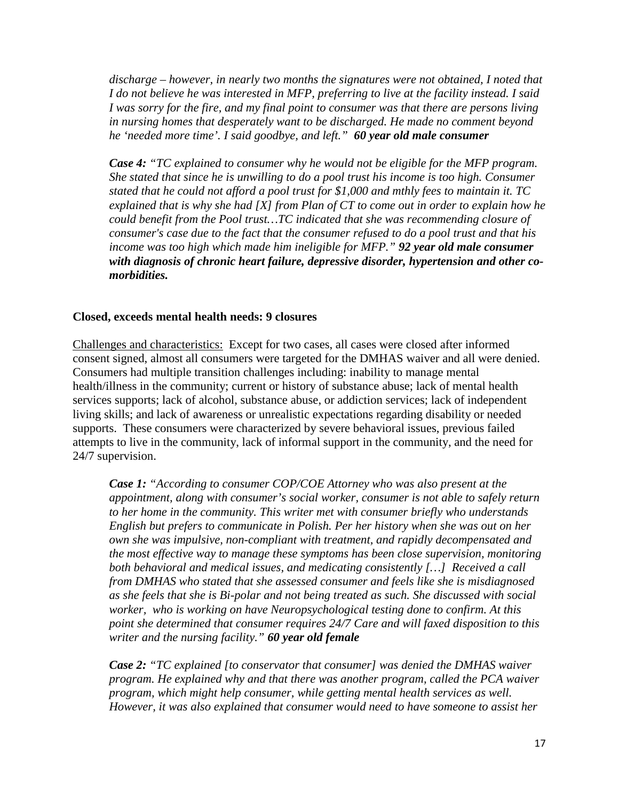*discharge – however, in nearly two months the signatures were not obtained, I noted that I do not believe he was interested in MFP, preferring to live at the facility instead. I said I was sorry for the fire, and my final point to consumer was that there are persons living in nursing homes that desperately want to be discharged. He made no comment beyond he 'needed more time'. I said goodbye, and left." 60 year old male consumer*

*Case 4: "TC explained to consumer why he would not be eligible for the MFP program. She stated that since he is unwilling to do a pool trust his income is too high. Consumer stated that he could not afford a pool trust for \$1,000 and mthly fees to maintain it. TC explained that is why she had [X] from Plan of CT to come out in order to explain how he could benefit from the Pool trust…TC indicated that she was recommending closure of consumer's case due to the fact that the consumer refused to do a pool trust and that his income was too high which made him ineligible for MFP." 92 year old male consumer with diagnosis of chronic heart failure, depressive disorder, hypertension and other comorbidities.* 

### **Closed, exceeds mental health needs: 9 closures**

Challenges and characteristics: Except for two cases, all cases were closed after informed consent signed, almost all consumers were targeted for the DMHAS waiver and all were denied. Consumers had multiple transition challenges including: inability to manage mental health/illness in the community; current or history of substance abuse; lack of mental health services supports; lack of alcohol, substance abuse, or addiction services; lack of independent living skills; and lack of awareness or unrealistic expectations regarding disability or needed supports. These consumers were characterized by severe behavioral issues, previous failed attempts to live in the community, lack of informal support in the community, and the need for 24/7 supervision.

*Case 1: "According to consumer COP/COE Attorney who was also present at the appointment, along with consumer's social worker, consumer is not able to safely return to her home in the community. This writer met with consumer briefly who understands English but prefers to communicate in Polish. Per her history when she was out on her own she was impulsive, non-compliant with treatment, and rapidly decompensated and the most effective way to manage these symptoms has been close supervision, monitoring both behavioral and medical issues, and medicating consistently […] Received a call from DMHAS who stated that she assessed consumer and feels like she is misdiagnosed as she feels that she is Bi-polar and not being treated as such. She discussed with social worker, who is working on have Neuropsychological testing done to confirm. At this point she determined that consumer requires 24/7 Care and will faxed disposition to this writer and the nursing facility." 60 year old female* 

*Case 2: "TC explained [to conservator that consumer] was denied the DMHAS waiver program. He explained why and that there was another program, called the PCA waiver program, which might help consumer, while getting mental health services as well. However, it was also explained that consumer would need to have someone to assist her*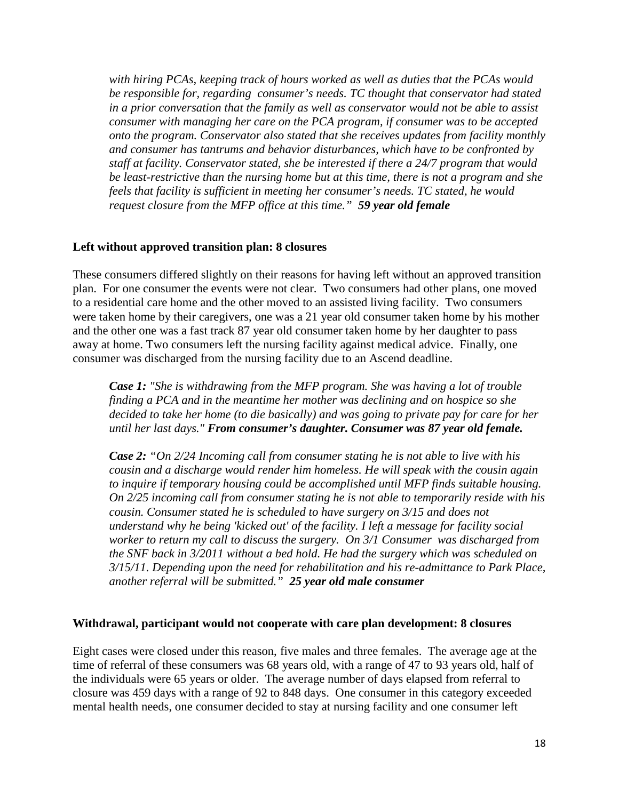*with hiring PCAs, keeping track of hours worked as well as duties that the PCAs would be responsible for, regarding consumer's needs. TC thought that conservator had stated in a prior conversation that the family as well as conservator would not be able to assist consumer with managing her care on the PCA program, if consumer was to be accepted onto the program. Conservator also stated that she receives updates from facility monthly and consumer has tantrums and behavior disturbances, which have to be confronted by staff at facility. Conservator stated, she be interested if there a 24/7 program that would be least-restrictive than the nursing home but at this time, there is not a program and she feels that facility is sufficient in meeting her consumer's needs. TC stated, he would request closure from the MFP office at this time." 59 year old female* 

### **Left without approved transition plan: 8 closures**

These consumers differed slightly on their reasons for having left without an approved transition plan. For one consumer the events were not clear. Two consumers had other plans, one moved to a residential care home and the other moved to an assisted living facility. Two consumers were taken home by their caregivers, one was a 21 year old consumer taken home by his mother and the other one was a fast track 87 year old consumer taken home by her daughter to pass away at home. Two consumers left the nursing facility against medical advice. Finally, one consumer was discharged from the nursing facility due to an Ascend deadline.

*Case 1: "She is withdrawing from the MFP program. She was having a lot of trouble finding a PCA and in the meantime her mother was declining and on hospice so she decided to take her home (to die basically) and was going to private pay for care for her until her last days." From consumer's daughter. Consumer was 87 year old female.*

*Case 2: "On 2/24 Incoming call from consumer stating he is not able to live with his cousin and a discharge would render him homeless. He will speak with the cousin again to inquire if temporary housing could be accomplished until MFP finds suitable housing. On 2/25 incoming call from consumer stating he is not able to temporarily reside with his cousin. Consumer stated he is scheduled to have surgery on 3/15 and does not understand why he being 'kicked out' of the facility. I left a message for facility social worker to return my call to discuss the surgery. On 3/1 Consumer was discharged from the SNF back in 3/2011 without a bed hold. He had the surgery which was scheduled on 3/15/11. Depending upon the need for rehabilitation and his re-admittance to Park Place, another referral will be submitted." 25 year old male consumer*

#### **Withdrawal, participant would not cooperate with care plan development: 8 closures**

Eight cases were closed under this reason, five males and three females. The average age at the time of referral of these consumers was 68 years old, with a range of 47 to 93 years old, half of the individuals were 65 years or older. The average number of days elapsed from referral to closure was 459 days with a range of 92 to 848 days. One consumer in this category exceeded mental health needs, one consumer decided to stay at nursing facility and one consumer left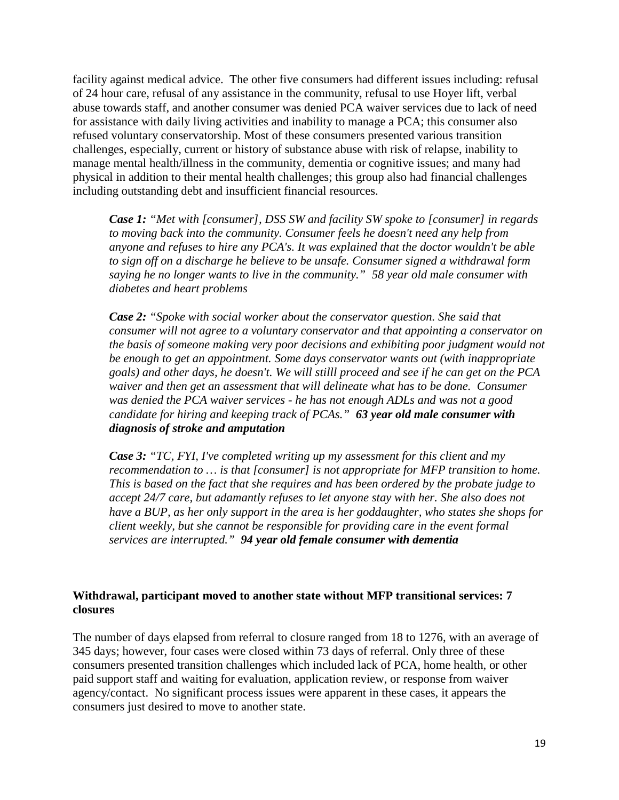facility against medical advice. The other five consumers had different issues including: refusal of 24 hour care, refusal of any assistance in the community, refusal to use Hoyer lift, verbal abuse towards staff, and another consumer was denied PCA waiver services due to lack of need for assistance with daily living activities and inability to manage a PCA; this consumer also refused voluntary conservatorship. Most of these consumers presented various transition challenges, especially, current or history of substance abuse with risk of relapse, inability to manage mental health/illness in the community, dementia or cognitive issues; and many had physical in addition to their mental health challenges; this group also had financial challenges including outstanding debt and insufficient financial resources.

*Case 1: "Met with [consumer], DSS SW and facility SW spoke to [consumer] in regards to moving back into the community. Consumer feels he doesn't need any help from anyone and refuses to hire any PCA's. It was explained that the doctor wouldn't be able to sign off on a discharge he believe to be unsafe. Consumer signed a withdrawal form saying he no longer wants to live in the community." 58 year old male consumer with diabetes and heart problems*

*Case 2: "Spoke with social worker about the conservator question. She said that consumer will not agree to a voluntary conservator and that appointing a conservator on the basis of someone making very poor decisions and exhibiting poor judgment would not be enough to get an appointment. Some days conservator wants out (with inappropriate goals) and other days, he doesn't. We will stilll proceed and see if he can get on the PCA waiver and then get an assessment that will delineate what has to be done. Consumer was denied the PCA waiver services - he has not enough ADLs and was not a good candidate for hiring and keeping track of PCAs." 63 year old male consumer with diagnosis of stroke and amputation*

*Case 3: "TC, FYI, I've completed writing up my assessment for this client and my recommendation to … is that [consumer] is not appropriate for MFP transition to home. This is based on the fact that she requires and has been ordered by the probate judge to accept 24/7 care, but adamantly refuses to let anyone stay with her. She also does not have a BUP, as her only support in the area is her goddaughter, who states she shops for client weekly, but she cannot be responsible for providing care in the event formal services are interrupted." 94 year old female consumer with dementia*

# **Withdrawal, participant moved to another state without MFP transitional services: 7 closures**

The number of days elapsed from referral to closure ranged from 18 to 1276, with an average of 345 days; however, four cases were closed within 73 days of referral. Only three of these consumers presented transition challenges which included lack of PCA, home health, or other paid support staff and waiting for evaluation, application review, or response from waiver agency/contact. No significant process issues were apparent in these cases, it appears the consumers just desired to move to another state.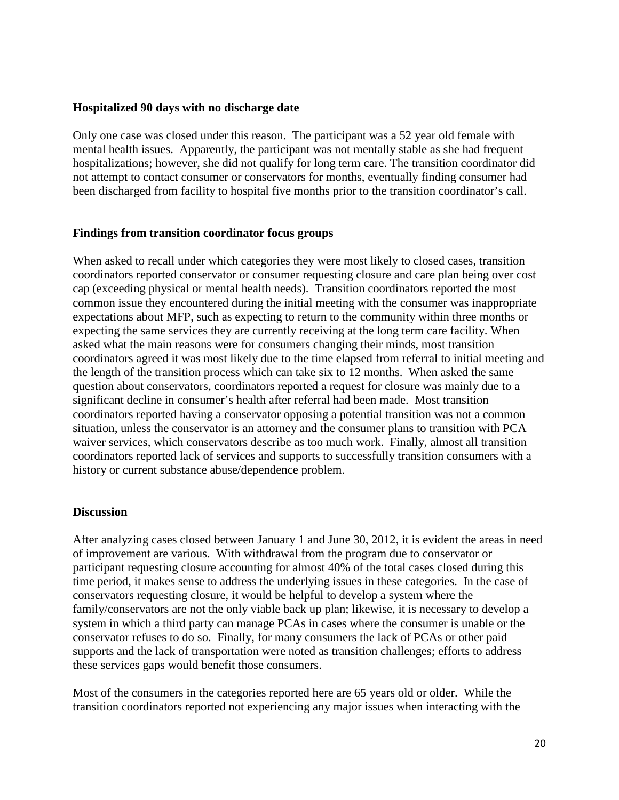#### **Hospitalized 90 days with no discharge date**

Only one case was closed under this reason. The participant was a 52 year old female with mental health issues. Apparently, the participant was not mentally stable as she had frequent hospitalizations; however, she did not qualify for long term care. The transition coordinator did not attempt to contact consumer or conservators for months, eventually finding consumer had been discharged from facility to hospital five months prior to the transition coordinator's call.

#### **Findings from transition coordinator focus groups**

When asked to recall under which categories they were most likely to closed cases, transition coordinators reported conservator or consumer requesting closure and care plan being over cost cap (exceeding physical or mental health needs). Transition coordinators reported the most common issue they encountered during the initial meeting with the consumer was inappropriate expectations about MFP, such as expecting to return to the community within three months or expecting the same services they are currently receiving at the long term care facility. When asked what the main reasons were for consumers changing their minds, most transition coordinators agreed it was most likely due to the time elapsed from referral to initial meeting and the length of the transition process which can take six to 12 months. When asked the same question about conservators, coordinators reported a request for closure was mainly due to a significant decline in consumer's health after referral had been made. Most transition coordinators reported having a conservator opposing a potential transition was not a common situation, unless the conservator is an attorney and the consumer plans to transition with PCA waiver services, which conservators describe as too much work. Finally, almost all transition coordinators reported lack of services and supports to successfully transition consumers with a history or current substance abuse/dependence problem.

#### **Discussion**

After analyzing cases closed between January 1 and June 30, 2012, it is evident the areas in need of improvement are various. With withdrawal from the program due to conservator or participant requesting closure accounting for almost 40% of the total cases closed during this time period, it makes sense to address the underlying issues in these categories. In the case of conservators requesting closure, it would be helpful to develop a system where the family/conservators are not the only viable back up plan; likewise, it is necessary to develop a system in which a third party can manage PCAs in cases where the consumer is unable or the conservator refuses to do so. Finally, for many consumers the lack of PCAs or other paid supports and the lack of transportation were noted as transition challenges; efforts to address these services gaps would benefit those consumers.

Most of the consumers in the categories reported here are 65 years old or older. While the transition coordinators reported not experiencing any major issues when interacting with the